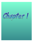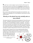$\mathbf y$ ou don't have to look too deeply to see how chemistry affects your life.

Every breath you take, every meal you eat, everything has something to do with the interaction of chemicals! And I know for a fact that you know how chemicals affect your life every time you finish a large meal (or go too long without a meal!)

But you need to know something that many people do not understand – even though we will be spending a lot of time studying the tiniest pieces of matter within this book...

# Nobody on the planet has ever actually seen an atom before!

This does not mean that scientists have been making all of this stuff up over the years. Thousands of experiments have been run in order to create the best models for our understanding of chemistry. Remember - the study of chemistry is the study of very small particles! Much like the scientists who have created these chemistry models, you too will be successful in measuring very tiny pieces of matter to incredibly precise details! The nature of how we measure or quantify these particles is the topic of study this first week.

Since the study of chemistry has to do with measuring many different things about incredibly tiny pieces of matter, a new way of writing down massively large or small numbers had to be developed. Let's get real here,

who really wants to write out that there are 3,011,500,000,000,000 molecules of sugar\* in every cup?

\* I'm really not joking here. This is pretty close to the actual number!

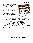So a short cut was needed to make all of these large numbers a little easier to manage. This short cut is known as scientific notation. The rules of this method are very easy to follow as long as you can multiply or divide any number by 10.

Instead of writing out the number 100, you would write  $10^2$ . The "2" that is hovering on top of the 10 represents the multiplication of the number 10 by



itself. The number 1000 would be written as  $10^3$ ; 10,000 would be  $10^4$ , and so on. The following chart can be used to follow how these exponents work:

 $100 = 10 \times 10 = 10^2$  = one hundred  $1,000 = 10 \times 10 \times 10 = 10^3$  = one thousand 10,000 =  $10 \times 10 \times 10 \times 10 = 10^4$  = ten thousand  $1,000,000 = 10 \times 10 \times 10 \times 10 \times 10 \times 10 = 10^6$  = one million 1,000,000,000 = 10 x 10 x 10 x 10 x 10 x 10 x 10 x 10 x 10 = 10<sup>9</sup>= one billion

This chart only tells us how to make our number larger. We can use this same procedure in reverse to determine how small an object can be as well. For example:

> $1/10 = 10^{-1}$  = one tenth  $1/100 = 1/10 \times 10 = 10^{-2}$  = one hundredth  $1/1,000 = 1/10 \times 10 \times 10 = 10^{-3}$  = one thousandth  $1/10,000 = 1/10 \times 10 \times 10 \times 10 = 10^{-4}$  = one ten thousandth  $1/1,000,000 = 1/10 \times 10 \times 10 = 10^{-6}$  = one millionth  $1/1,000,000,000 = 1/10 \times 10 \times 10 = 10^{-9}$  = one billionth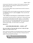So how do all of these short cuts help us? Well, instead of writing out the number 2,500 when you are doing your calculations, you can write it as  $2.5 \times 10 \times 10 \times 10 = 2,500$ 

Or, you can make it REALLY easy on yourself and use scientific notation to write it as 2.5  $\times$  10<sup>3</sup>.

In scientific notation, the first number you wrote down (the 2.5) is known as the  ${\sf coefficient}$  and the  $10^3$  is called the  ${\sf exponent}$ . There is one little rule with coefficients:

#### The coefficient must always be a number between 1.0 and 9.9

This may seem to be more work that it is really worth. And you may be right when we are using small numbers like 2,500. However, it is very possible that you will have to work with much larger numbers like the one you read about a little while ago - 3,011,500,000,000,000. This is where scientific notation comes in handy. Let's use this short cut once again:

Question #1:

### $3,011,500,000,000,000 = 3.0115 \times 10^{15}$

How can you figure out how many times you have to divide this large number by 10 to get  $3.0115 \times 10^{15}$ ?

After a few practice problems, you will probably become very good at solving this problem. Until then, you can use a little device to help you count the number of 10's you'll need for your answer.

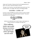Simply count the number of loops you draw from the beginning decimal to where it will create a coefficient between 1.0 and 9.9.

The same is true if you have a very small number and you need to put it into scientific notation. For example, take a look at the following example:

## $0.0112556 = 1.12556 \times 10^{-2}$

In order to convert 0.0112556 into scientific notation, you need to multiply this number by 100 to get a coefficient between 1.0 and 9.9. This can be represented with the following pic:

# 0.01.12556

Another way to determine how to convert a large or small number into scientific notation is to remember this simple rule:

If the coefficient needs to get smaller during a conversion, the exponent will need to get bigger, and vice versa!

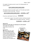For example, let's assume we need to convert the following number into scientific notation:

# 3,011,500,000,000,000

This number will need to get smaller, right? So if this number gets smaller, its exponent will need to get larger. Therefore…

# $3,011,500,000,000,000 = 3.0115 \times 10^{15}$

If you have a small number like this one...  $0.016115$ 

...and you need to convert it into scientific notation, it will have to become LARGER in order to be a proper coefficient. Therefore...

# $0.016115 = 1.6115 \times 10^{-2}$

#### Question #2:

So how do you know where you should place the final decimal? That is easy! Your coefficient

should always be between 1 and 9.999…

#### Question #3:

Why are we doing this again? Okay, I will be honest with you. Crunching numbers and practicing scientific notation problems may not be the most exciting thing to do. However, this skill is very important not only to chemists, but to mathematicians, and engineers too!

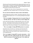Chemists need the best data possible when running experiments on such tiny pieces of matter. The ability to accurately AND precisely identify very large or small numbers is extremely important. You may be thinking that accuracy and precision is the same thing. But they're not!

Precision is how close a series of measurements are to each other. Accuracy is how close a measured value is to the real value of the object.

# You can see how these two terms work in the kitchen:

Imagine baking three batches of cookies. Everything is going fine until you get distracted with phone calls, TV, etc. and end up burning all three sheets of cookies.

#### This is an example of being precise but not accurate (they all look like charcoal, but that's not what you were hoping for!)

So you cook three more sheets of cookies and make certain to set a timer this time. The bell goes off and you pull out the cookies only to find that the sheet on the bottom of the oven burned all of the cookies but the sheets on top of the oven were still gooey. Your oven does not heat evenly!

#### This is an example of being NEITHER precise nor accurate.

You decide to give it one more try. The timer is set and you have the brilliant idea to rotate your cookie sheets within the oven as they are cooking. When the time is up, you pull out your cookies and find all of them to be cooked perfectly!

This is an example of being BOTH accurate and precise. All of the cookies have been cooked precisely the same as each other AND the accuracy of how long they were to be cooked was perfect!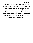This week, you need to practice how to place large and small numbers into scientific notation. I know there are a lot of problems to do. But practice makes perfect. Actually, perfect practice makes perfect. Good luck and get ready for next week because we are going to see how to take these huge numbers and apply a little mathematics to them. Stay tuned….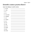# Scientific notation practice (Part I)

Convert the following to scientific notation:

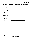16)  $3.825 \times 10^3$  $\overline{\phantom{a}}$  , and the contract of the contract of the contract of the contract of the contract of the contract of the contract of the contract of the contract of the contract of the contract of the contract of the contrac 17)  $6.3 \times 10^4$  $\mathcal{L}_\text{max}$  and  $\mathcal{L}_\text{max}$  and  $\mathcal{L}_\text{max}$  and  $\mathcal{L}_\text{max}$ 18)  $2.3 \times 10^{-2}$ 19) 4.44 x 10-6  $\overline{\phantom{a}}$  , and the set of the set of the set of the set of the set of the set of the set of the set of the set of the set of the set of the set of the set of the set of the set of the set of the set of the set of the s 20) 7.121  $\times$  10<sup>9</sup>  $\mathcal{L}_\text{max}$  , and the set of the set of the set of the set of the set of the set of the set of the set of the set of the set of the set of the set of the set of the set of the set of the set of the set of the set of the 21)  $1.2 \times 10^{-1}$  $\overline{\phantom{a}}$ 22)  $1.8 \times 10^2$  $\overline{\phantom{a}}$  , and the state of the state of the state of the state of the state of the state of the state of the state of the state of the state of the state of the state of the state of the state of the state of the stat 23)  $8.1 \times 10^{-4}$  $\mathcal{L}_\text{max}$  and  $\mathcal{L}_\text{max}$  and  $\mathcal{L}_\text{max}$  and  $\mathcal{L}_\text{max}$ 24)  $6.7 \times 10^5$  $\overline{\phantom{a}}$ 25) 3.4  $\times$  10<sup>7</sup>

Convert the following numbers in scientific notation to expanded form:

If you did okay with these first problems, let's see how you do with a few more...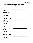### Scientific notation practice (Part II)

Put these numbers into scientific notation.